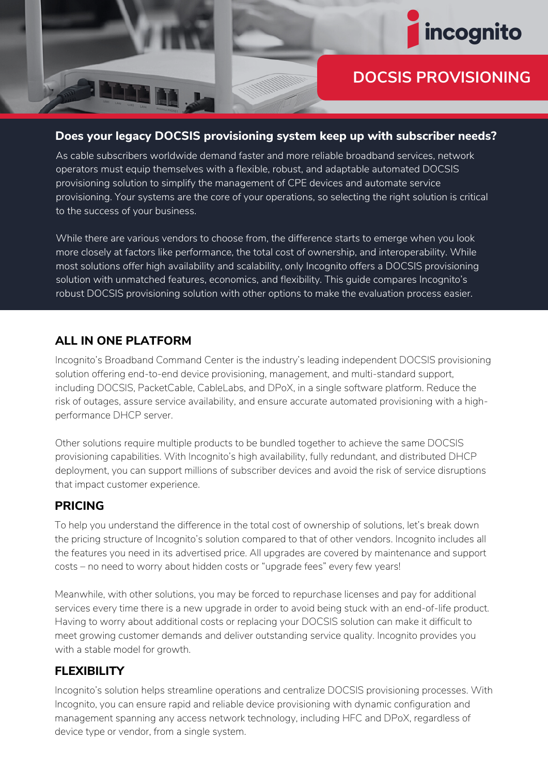

# **DOCSIS PROVISIONING**

#### **Does your legacy DOCSIS provisioning system keep up with subscriber needs?**

As cable subscribers worldwide demand faster and more reliable broadband services, network operators must equip themselves with a flexible, robust, and adaptable automated DOCSIS provisioning solution to simplify the management of CPE devices and automate service provisioning. Your systems are the core of your operations, so selecting the right solution is critical to the success of your business.

While there are various vendors to choose from, the difference starts to emerge when you look more closely at factors like performance, the total cost of ownership, and interoperability. While most solutions offer high availability and scalability, only Incognito offers a DOCSIS provisioning solution with unmatched features, economics, and flexibility. This guide compares Incognito's robust DOCSIS provisioning solution with other options to make the evaluation process easier.

### **ALL IN ONE PLATFORM**

Incognito's Broadband Command Center is the industry's leading independent DOCSIS provisioning solution offering end-to-end device provisioning, management, and multi-standard support, including DOCSIS, PacketCable, CableLabs, and DPoX, in a single software platform. Reduce the risk of outages, assure service availability, and ensure accurate automated provisioning with a highperformance DHCP server.

Other solutions require multiple products to be bundled together to achieve the same DOCSIS provisioning capabilities. With Incognito's high availability, fully redundant, and distributed DHCP deployment, you can support millions of subscriber devices and avoid the risk of service disruptions that impact customer experience.

#### **PRICING**

To help you understand the difference in the total cost of ownership of solutions, let's break down the pricing structure of Incognito's solution compared to that of other vendors. Incognito includes all the features you need in its advertised price. All upgrades are covered by maintenance and support costs – no need to worry about hidden costs or "upgrade fees" every few years!

Meanwhile, with other solutions, you may be forced to repurchase licenses and pay for additional services every time there is a new upgrade in order to avoid being stuck with an end-of-life product. Having to worry about additional costs or replacing your DOCSIS solution can make it difficult to meet growing customer demands and deliver outstanding service quality. Incognito provides you with a stable model for growth.

## **FLEXIBILITY**

Incognito's solution helps streamline operations and centralize DOCSIS provisioning processes. With Incognito, you can ensure rapid and reliable device provisioning with dynamic configuration and management spanning any access network technology, including HFC and DPoX, regardless of device type or vendor, from a single system.